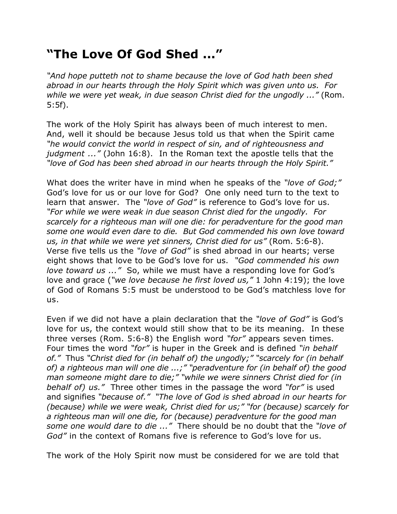## **"The Love Of God Shed ..."**

*"And hope putteth not to shame because the love of God hath been shed abroad in our hearts through the Holy Spirit which was given unto us. For while we were yet weak, in due season Christ died for the ungodly ..."* (Rom. 5:5f).

The work of the Holy Spirit has always been of much interest to men. And, well it should be because Jesus told us that when the Spirit came *"he would convict the world in respect of sin, and of righteousness and judgment ..."* (John 16:8). In the Roman text the apostle tells that the *"love of God has been shed abroad in our hearts through the Holy Spirit."*

What does the writer have in mind when he speaks of the *"love of God;"* God's love for us or our love for God? One only need turn to the text to learn that answer. The *"love of God"* is reference to God's love for us. *"For while we were weak in due season Christ died for the ungodly. For scarcely for a righteous man will one die: for peradventure for the good man some one would even dare to die. But God commended his own love toward us, in that while we were yet sinners, Christ died for us"* (Rom. 5:6-8). Verse five tells us the *"love of God"* is shed abroad in our hearts; verse eight shows that love to be God's love for us. *"God commended his own love toward us ..."* So, while we must have a responding love for God's love and grace (*"we love because he first loved us,"* 1 John 4:19); the love of God of Romans 5:5 must be understood to be God's matchless love for us.

Even if we did not have a plain declaration that the *"love of God"* is God's love for us, the context would still show that to be its meaning. In these three verses (Rom. 5:6-8) the English word *"for"* appears seven times. Four times the word *"for"* is huper in the Greek and is defined *"in behalf of."* Thus *"Christ died for (in behalf of) the ungodly;" "scarcely for (in behalf of) a righteous man will one die ...;" "peradventure for (in behalf of) the good man someone might dare to die;" "while we were sinners Christ died for (in behalf of) us."* Three other times in the passage the word *"for"* is used and signifies *"because of." "The love of God is shed abroad in our hearts for (because) while we were weak, Christ died for us;" "for (because) scarcely for a righteous man will one die, for (because) peradventure for the good man some one would dare to die ..."* There should be no doubt that the *"love of God"* in the context of Romans five is reference to God's love for us.

The work of the Holy Spirit now must be considered for we are told that